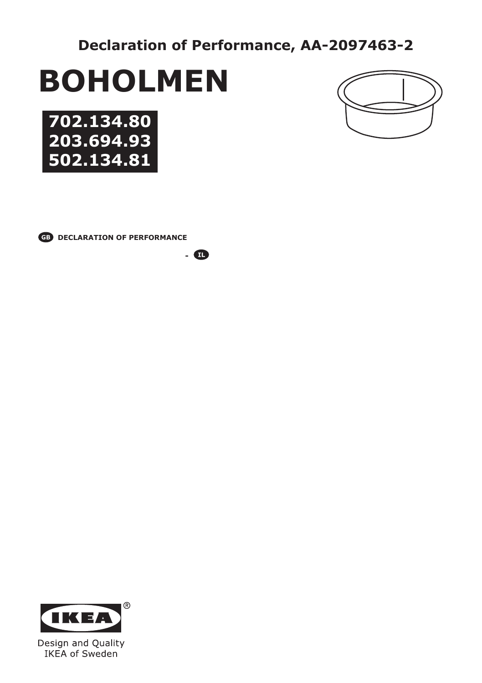**Declaration of Performance, AA-2097463-2**

# **BOHOLMEN**





**CB** DECLARATION OF PERFORMANCE

**-** 

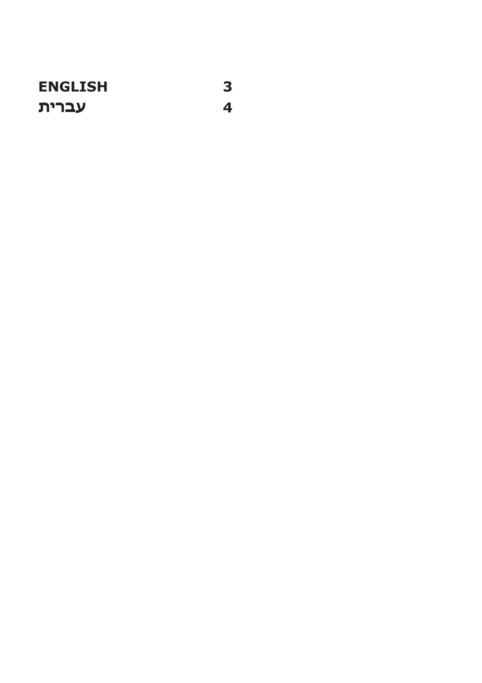**ENGLISH עברית**

**3**

**4**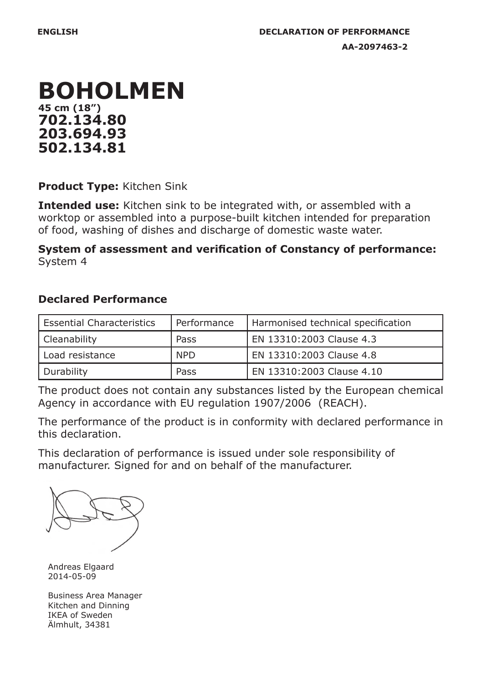

**Product Type:** Kitchen Sink

**Intended use:** Kitchen sink to be integrated with, or assembled with a worktop or assembled into a purpose-built kitchen intended for preparation of food, washing of dishes and discharge of domestic waste water.

**System of assessment and verification of Constancy of performance:** System 4

## **Declared Performance**

| Essential Characteristics | Performance | Harmonised technical specification |  |
|---------------------------|-------------|------------------------------------|--|
| Cleanability              | Pass        | EN 13310:2003 Clause 4.3           |  |
| l Load resistance         | <b>NPD</b>  | EN 13310:2003 Clause 4.8           |  |
| Durability                | Pass        | EN 13310:2003 Clause 4.10          |  |

The product does not contain any substances listed by the European chemical Agency in accordance with EU regulation 1907/2006 (REACH).

The performance of the product is in conformity with declared performance in this declaration.

This declaration of performance is issued under sole responsibility of manufacturer. Signed for and on behalf of the manufacturer.

Andreas Elgaard 2014-05-09

Business Area Manager Kitchen and Dinning IKEA of Sweden Älmhult, 34381